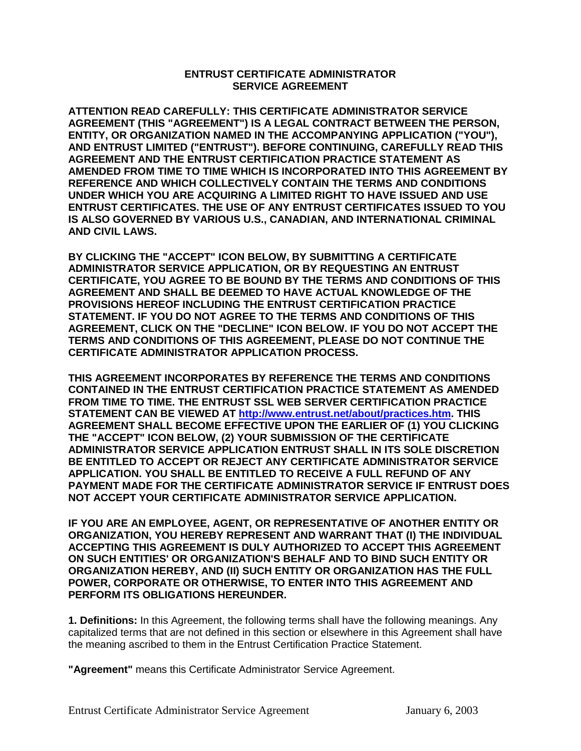## **ENTRUST CERTIFICATE ADMINISTRATOR SERVICE AGREEMENT**

**ATTENTION READ CAREFULLY: THIS CERTIFICATE ADMINISTRATOR SERVICE AGREEMENT (THIS "AGREEMENT") IS A LEGAL CONTRACT BETWEEN THE PERSON, ENTITY, OR ORGANIZATION NAMED IN THE ACCOMPANYING APPLICATION ("YOU"), AND ENTRUST LIMITED ("ENTRUST"). BEFORE CONTINUING, CAREFULLY READ THIS AGREEMENT AND THE ENTRUST CERTIFICATION PRACTICE STATEMENT AS AMENDED FROM TIME TO TIME WHICH IS INCORPORATED INTO THIS AGREEMENT BY REFERENCE AND WHICH COLLECTIVELY CONTAIN THE TERMS AND CONDITIONS UNDER WHICH YOU ARE ACQUIRING A LIMITED RIGHT TO HAVE ISSUED AND USE ENTRUST CERTIFICATES. THE USE OF ANY ENTRUST CERTIFICATES ISSUED TO YOU IS ALSO GOVERNED BY VARIOUS U.S., CANADIAN, AND INTERNATIONAL CRIMINAL AND CIVIL LAWS.** 

**BY CLICKING THE "ACCEPT" ICON BELOW, BY SUBMITTING A CERTIFICATE ADMINISTRATOR SERVICE APPLICATION, OR BY REQUESTING AN ENTRUST CERTIFICATE, YOU AGREE TO BE BOUND BY THE TERMS AND CONDITIONS OF THIS AGREEMENT AND SHALL BE DEEMED TO HAVE ACTUAL KNOWLEDGE OF THE PROVISIONS HEREOF INCLUDING THE ENTRUST CERTIFICATION PRACTICE STATEMENT. IF YOU DO NOT AGREE TO THE TERMS AND CONDITIONS OF THIS AGREEMENT, CLICK ON THE "DECLINE" ICON BELOW. IF YOU DO NOT ACCEPT THE TERMS AND CONDITIONS OF THIS AGREEMENT, PLEASE DO NOT CONTINUE THE CERTIFICATE ADMINISTRATOR APPLICATION PROCESS.** 

**THIS AGREEMENT INCORPORATES BY REFERENCE THE TERMS AND CONDITIONS CONTAINED IN THE ENTRUST CERTIFICATION PRACTICE STATEMENT AS AMENDED FROM TIME TO TIME. THE ENTRUST SSL WEB SERVER CERTIFICATION PRACTICE STATEMENT CAN BE VIEWED AT [http://www.entrust.net/about/practices.htm.](http://www.entrust.net/about/practices.htm) THIS AGREEMENT SHALL BECOME EFFECTIVE UPON THE EARLIER OF (1) YOU CLICKING THE "ACCEPT" ICON BELOW, (2) YOUR SUBMISSION OF THE CERTIFICATE ADMINISTRATOR SERVICE APPLICATION ENTRUST SHALL IN ITS SOLE DISCRETION BE ENTITLED TO ACCEPT OR REJECT ANY CERTIFICATE ADMINISTRATOR SERVICE APPLICATION. YOU SHALL BE ENTITLED TO RECEIVE A FULL REFUND OF ANY PAYMENT MADE FOR THE CERTIFICATE ADMINISTRATOR SERVICE IF ENTRUST DOES NOT ACCEPT YOUR CERTIFICATE ADMINISTRATOR SERVICE APPLICATION.** 

**IF YOU ARE AN EMPLOYEE, AGENT, OR REPRESENTATIVE OF ANOTHER ENTITY OR ORGANIZATION, YOU HEREBY REPRESENT AND WARRANT THAT (I) THE INDIVIDUAL ACCEPTING THIS AGREEMENT IS DULY AUTHORIZED TO ACCEPT THIS AGREEMENT ON SUCH ENTITIES' OR ORGANIZATION'S BEHALF AND TO BIND SUCH ENTITY OR ORGANIZATION HEREBY, AND (II) SUCH ENTITY OR ORGANIZATION HAS THE FULL POWER, CORPORATE OR OTHERWISE, TO ENTER INTO THIS AGREEMENT AND PERFORM ITS OBLIGATIONS HEREUNDER.**

**1. Definitions:** In this Agreement, the following terms shall have the following meanings. Any capitalized terms that are not defined in this section or elsewhere in this Agreement shall have the meaning ascribed to them in the Entrust Certification Practice Statement.

**"Agreement"** means this Certificate Administrator Service Agreement.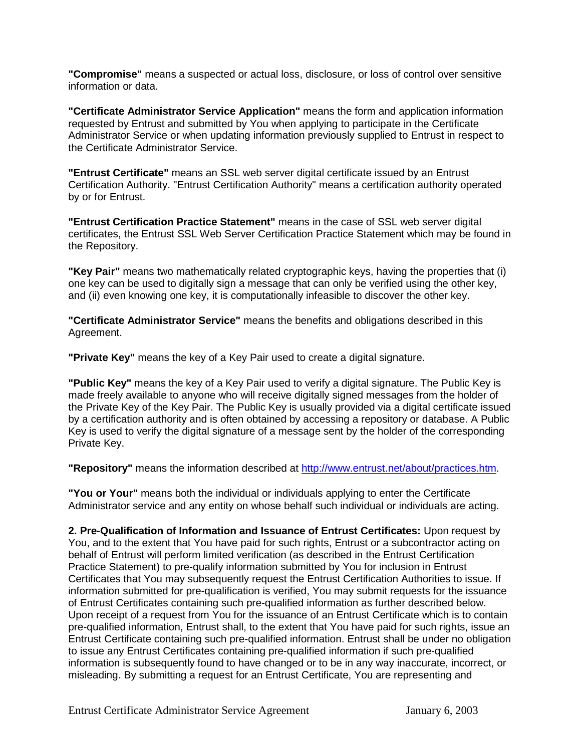**"Compromise"** means a suspected or actual loss, disclosure, or loss of control over sensitive information or data.

**"Certificate Administrator Service Application"** means the form and application information requested by Entrust and submitted by You when applying to participate in the Certificate Administrator Service or when updating information previously supplied to Entrust in respect to the Certificate Administrator Service.

**"Entrust Certificate"** means an SSL web server digital certificate issued by an Entrust Certification Authority. "Entrust Certification Authority" means a certification authority operated by or for Entrust.

**"Entrust Certification Practice Statement"** means in the case of SSL web server digital certificates, the Entrust SSL Web Server Certification Practice Statement which may be found in the Repository.

**"Key Pair"** means two mathematically related cryptographic keys, having the properties that (i) one key can be used to digitally sign a message that can only be verified using the other key, and (ii) even knowing one key, it is computationally infeasible to discover the other key.

**"Certificate Administrator Service"** means the benefits and obligations described in this Agreement.

**"Private Key"** means the key of a Key Pair used to create a digital signature.

**"Public Key"** means the key of a Key Pair used to verify a digital signature. The Public Key is made freely available to anyone who will receive digitally signed messages from the holder of the Private Key of the Key Pair. The Public Key is usually provided via a digital certificate issued by a certification authority and is often obtained by accessing a repository or database. A Public Key is used to verify the digital signature of a message sent by the holder of the corresponding Private Key.

**"Repository"** means the information described at [http://www.entrust.net/about/practices.htm.](http://www.entrust.net/about/practices.htm)

**"You or Your"** means both the individual or individuals applying to enter the Certificate Administrator service and any entity on whose behalf such individual or individuals are acting.

**2. Pre-Qualification of Information and Issuance of Entrust Certificates:** Upon request by You, and to the extent that You have paid for such rights, Entrust or a subcontractor acting on behalf of Entrust will perform limited verification (as described in the Entrust Certification Practice Statement) to pre-qualify information submitted by You for inclusion in Entrust Certificates that You may subsequently request the Entrust Certification Authorities to issue. If information submitted for pre-qualification is verified, You may submit requests for the issuance of Entrust Certificates containing such pre-qualified information as further described below. Upon receipt of a request from You for the issuance of an Entrust Certificate which is to contain pre-qualified information, Entrust shall, to the extent that You have paid for such rights, issue an Entrust Certificate containing such pre-qualified information. Entrust shall be under no obligation to issue any Entrust Certificates containing pre-qualified information if such pre-qualified information is subsequently found to have changed or to be in any way inaccurate, incorrect, or misleading. By submitting a request for an Entrust Certificate, You are representing and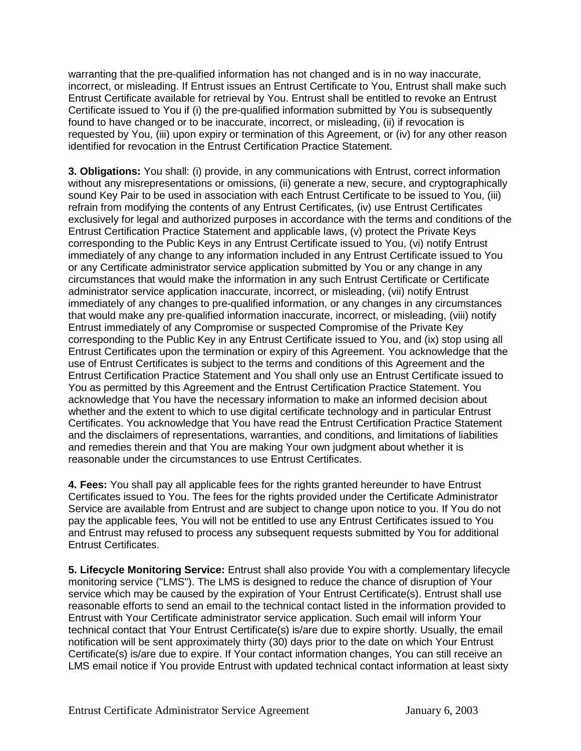warranting that the pre-qualified information has not changed and is in no way inaccurate, incorrect, or misleading. If Entrust issues an Entrust Certificate to You, Entrust shall make such Entrust Certificate available for retrieval by You. Entrust shall be entitled to revoke an Entrust Certificate issued to You if (i) the pre-qualified information submitted by You is subsequently found to have changed or to be inaccurate, incorrect, or misleading, (ii) if revocation is requested by You, (iii) upon expiry or termination of this Agreement, or (iv) for any other reason identified for revocation in the Entrust Certification Practice Statement.

**3. Obligations:** You shall: (i) provide, in any communications with Entrust, correct information without any misrepresentations or omissions, (ii) generate a new, secure, and cryptographically sound Key Pair to be used in association with each Entrust Certificate to be issued to You, (iii) refrain from modifying the contents of any Entrust Certificates, (iv) use Entrust Certificates exclusively for legal and authorized purposes in accordance with the terms and conditions of the Entrust Certification Practice Statement and applicable laws, (v) protect the Private Keys corresponding to the Public Keys in any Entrust Certificate issued to You, (vi) notify Entrust immediately of any change to any information included in any Entrust Certificate issued to You or any Certificate administrator service application submitted by You or any change in any circumstances that would make the information in any such Entrust Certificate or Certificate administrator service application inaccurate, incorrect, or misleading, (vii) notify Entrust immediately of any changes to pre-qualified information, or any changes in any circumstances that would make any pre-qualified information inaccurate, incorrect, or misleading, (viii) notify Entrust immediately of any Compromise or suspected Compromise of the Private Key corresponding to the Public Key in any Entrust Certificate issued to You, and (ix) stop using all Entrust Certificates upon the termination or expiry of this Agreement. You acknowledge that the use of Entrust Certificates is subject to the terms and conditions of this Agreement and the Entrust Certification Practice Statement and You shall only use an Entrust Certificate issued to You as permitted by this Agreement and the Entrust Certification Practice Statement. You acknowledge that You have the necessary information to make an informed decision about whether and the extent to which to use digital certificate technology and in particular Entrust Certificates. You acknowledge that You have read the Entrust Certification Practice Statement and the disclaimers of representations, warranties, and conditions, and limitations of liabilities and remedies therein and that You are making Your own judgment about whether it is reasonable under the circumstances to use Entrust Certificates.

**4. Fees:** You shall pay all applicable fees for the rights granted hereunder to have Entrust Certificates issued to You. The fees for the rights provided under the Certificate Administrator Service are available from Entrust and are subject to change upon notice to you. If You do not pay the applicable fees, You will not be entitled to use any Entrust Certificates issued to You and Entrust may refused to process any subsequent requests submitted by You for additional Entrust Certificates.

**5. Lifecycle Monitoring Service:** Entrust shall also provide You with a complementary lifecycle monitoring service ("LMS"). The LMS is designed to reduce the chance of disruption of Your service which may be caused by the expiration of Your Entrust Certificate(s). Entrust shall use reasonable efforts to send an email to the technical contact listed in the information provided to Entrust with Your Certificate administrator service application. Such email will inform Your technical contact that Your Entrust Certificate(s) is/are due to expire shortly. Usually, the email notification will be sent approximately thirty (30) days prior to the date on which Your Entrust Certificate(s) is/are due to expire. If Your contact information changes, You can still receive an LMS email notice if You provide Entrust with updated technical contact information at least sixty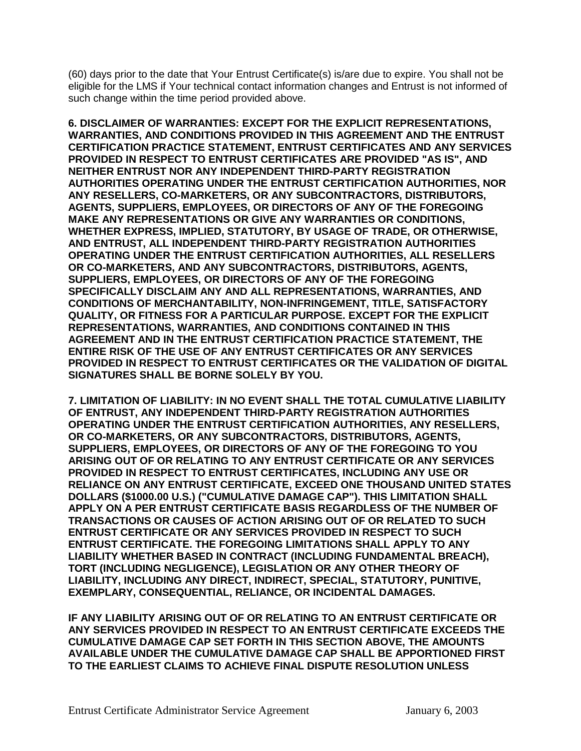(60) days prior to the date that Your Entrust Certificate(s) is/are due to expire. You shall not be eligible for the LMS if Your technical contact information changes and Entrust is not informed of such change within the time period provided above.

**6. DISCLAIMER OF WARRANTIES: EXCEPT FOR THE EXPLICIT REPRESENTATIONS, WARRANTIES, AND CONDITIONS PROVIDED IN THIS AGREEMENT AND THE ENTRUST CERTIFICATION PRACTICE STATEMENT, ENTRUST CERTIFICATES AND ANY SERVICES PROVIDED IN RESPECT TO ENTRUST CERTIFICATES ARE PROVIDED "AS IS", AND NEITHER ENTRUST NOR ANY INDEPENDENT THIRD-PARTY REGISTRATION AUTHORITIES OPERATING UNDER THE ENTRUST CERTIFICATION AUTHORITIES, NOR ANY RESELLERS, CO-MARKETERS, OR ANY SUBCONTRACTORS, DISTRIBUTORS, AGENTS, SUPPLIERS, EMPLOYEES, OR DIRECTORS OF ANY OF THE FOREGOING MAKE ANY REPRESENTATIONS OR GIVE ANY WARRANTIES OR CONDITIONS, WHETHER EXPRESS, IMPLIED, STATUTORY, BY USAGE OF TRADE, OR OTHERWISE, AND ENTRUST, ALL INDEPENDENT THIRD-PARTY REGISTRATION AUTHORITIES OPERATING UNDER THE ENTRUST CERTIFICATION AUTHORITIES, ALL RESELLERS OR CO-MARKETERS, AND ANY SUBCONTRACTORS, DISTRIBUTORS, AGENTS, SUPPLIERS, EMPLOYEES, OR DIRECTORS OF ANY OF THE FOREGOING SPECIFICALLY DISCLAIM ANY AND ALL REPRESENTATIONS, WARRANTIES, AND CONDITIONS OF MERCHANTABILITY, NON-INFRINGEMENT, TITLE, SATISFACTORY QUALITY, OR FITNESS FOR A PARTICULAR PURPOSE. EXCEPT FOR THE EXPLICIT REPRESENTATIONS, WARRANTIES, AND CONDITIONS CONTAINED IN THIS AGREEMENT AND IN THE ENTRUST CERTIFICATION PRACTICE STATEMENT, THE ENTIRE RISK OF THE USE OF ANY ENTRUST CERTIFICATES OR ANY SERVICES PROVIDED IN RESPECT TO ENTRUST CERTIFICATES OR THE VALIDATION OF DIGITAL SIGNATURES SHALL BE BORNE SOLELY BY YOU.** 

**7. LIMITATION OF LIABILITY: IN NO EVENT SHALL THE TOTAL CUMULATIVE LIABILITY OF ENTRUST, ANY INDEPENDENT THIRD-PARTY REGISTRATION AUTHORITIES OPERATING UNDER THE ENTRUST CERTIFICATION AUTHORITIES, ANY RESELLERS, OR CO-MARKETERS, OR ANY SUBCONTRACTORS, DISTRIBUTORS, AGENTS, SUPPLIERS, EMPLOYEES, OR DIRECTORS OF ANY OF THE FOREGOING TO YOU ARISING OUT OF OR RELATING TO ANY ENTRUST CERTIFICATE OR ANY SERVICES PROVIDED IN RESPECT TO ENTRUST CERTIFICATES, INCLUDING ANY USE OR RELIANCE ON ANY ENTRUST CERTIFICATE, EXCEED ONE THOUSAND UNITED STATES DOLLARS (\$1000.00 U.S.) ("CUMULATIVE DAMAGE CAP"). THIS LIMITATION SHALL APPLY ON A PER ENTRUST CERTIFICATE BASIS REGARDLESS OF THE NUMBER OF TRANSACTIONS OR CAUSES OF ACTION ARISING OUT OF OR RELATED TO SUCH ENTRUST CERTIFICATE OR ANY SERVICES PROVIDED IN RESPECT TO SUCH ENTRUST CERTIFICATE. THE FOREGOING LIMITATIONS SHALL APPLY TO ANY LIABILITY WHETHER BASED IN CONTRACT (INCLUDING FUNDAMENTAL BREACH), TORT (INCLUDING NEGLIGENCE), LEGISLATION OR ANY OTHER THEORY OF LIABILITY, INCLUDING ANY DIRECT, INDIRECT, SPECIAL, STATUTORY, PUNITIVE, EXEMPLARY, CONSEQUENTIAL, RELIANCE, OR INCIDENTAL DAMAGES.** 

**IF ANY LIABILITY ARISING OUT OF OR RELATING TO AN ENTRUST CERTIFICATE OR ANY SERVICES PROVIDED IN RESPECT TO AN ENTRUST CERTIFICATE EXCEEDS THE CUMULATIVE DAMAGE CAP SET FORTH IN THIS SECTION ABOVE, THE AMOUNTS AVAILABLE UNDER THE CUMULATIVE DAMAGE CAP SHALL BE APPORTIONED FIRST TO THE EARLIEST CLAIMS TO ACHIEVE FINAL DISPUTE RESOLUTION UNLESS**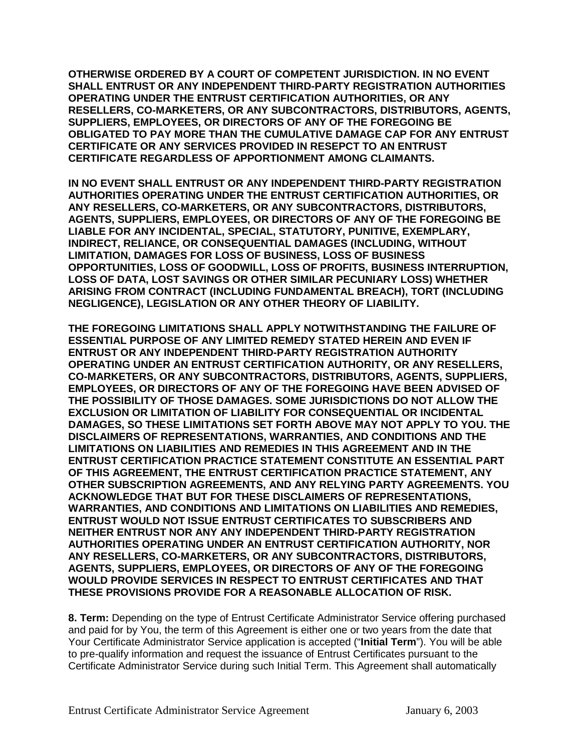**OTHERWISE ORDERED BY A COURT OF COMPETENT JURISDICTION. IN NO EVENT SHALL ENTRUST OR ANY INDEPENDENT THIRD-PARTY REGISTRATION AUTHORITIES OPERATING UNDER THE ENTRUST CERTIFICATION AUTHORITIES, OR ANY RESELLERS, CO-MARKETERS, OR ANY SUBCONTRACTORS, DISTRIBUTORS, AGENTS, SUPPLIERS, EMPLOYEES, OR DIRECTORS OF ANY OF THE FOREGOING BE OBLIGATED TO PAY MORE THAN THE CUMULATIVE DAMAGE CAP FOR ANY ENTRUST CERTIFICATE OR ANY SERVICES PROVIDED IN RESEPCT TO AN ENTRUST CERTIFICATE REGARDLESS OF APPORTIONMENT AMONG CLAIMANTS.** 

**IN NO EVENT SHALL ENTRUST OR ANY INDEPENDENT THIRD-PARTY REGISTRATION AUTHORITIES OPERATING UNDER THE ENTRUST CERTIFICATION AUTHORITIES, OR ANY RESELLERS, CO-MARKETERS, OR ANY SUBCONTRACTORS, DISTRIBUTORS, AGENTS, SUPPLIERS, EMPLOYEES, OR DIRECTORS OF ANY OF THE FOREGOING BE LIABLE FOR ANY INCIDENTAL, SPECIAL, STATUTORY, PUNITIVE, EXEMPLARY, INDIRECT, RELIANCE, OR CONSEQUENTIAL DAMAGES (INCLUDING, WITHOUT LIMITATION, DAMAGES FOR LOSS OF BUSINESS, LOSS OF BUSINESS OPPORTUNITIES, LOSS OF GOODWILL, LOSS OF PROFITS, BUSINESS INTERRUPTION, LOSS OF DATA, LOST SAVINGS OR OTHER SIMILAR PECUNIARY LOSS) WHETHER ARISING FROM CONTRACT (INCLUDING FUNDAMENTAL BREACH), TORT (INCLUDING NEGLIGENCE), LEGISLATION OR ANY OTHER THEORY OF LIABILITY.** 

**THE FOREGOING LIMITATIONS SHALL APPLY NOTWITHSTANDING THE FAILURE OF ESSENTIAL PURPOSE OF ANY LIMITED REMEDY STATED HEREIN AND EVEN IF ENTRUST OR ANY INDEPENDENT THIRD-PARTY REGISTRATION AUTHORITY OPERATING UNDER AN ENTRUST CERTIFICATION AUTHORITY, OR ANY RESELLERS, CO-MARKETERS, OR ANY SUBCONTRACTORS, DISTRIBUTORS, AGENTS, SUPPLIERS, EMPLOYEES, OR DIRECTORS OF ANY OF THE FOREGOING HAVE BEEN ADVISED OF THE POSSIBILITY OF THOSE DAMAGES. SOME JURISDICTIONS DO NOT ALLOW THE EXCLUSION OR LIMITATION OF LIABILITY FOR CONSEQUENTIAL OR INCIDENTAL DAMAGES, SO THESE LIMITATIONS SET FORTH ABOVE MAY NOT APPLY TO YOU. THE DISCLAIMERS OF REPRESENTATIONS, WARRANTIES, AND CONDITIONS AND THE LIMITATIONS ON LIABILITIES AND REMEDIES IN THIS AGREEMENT AND IN THE ENTRUST CERTIFICATION PRACTICE STATEMENT CONSTITUTE AN ESSENTIAL PART OF THIS AGREEMENT, THE ENTRUST CERTIFICATION PRACTICE STATEMENT, ANY OTHER SUBSCRIPTION AGREEMENTS, AND ANY RELYING PARTY AGREEMENTS. YOU ACKNOWLEDGE THAT BUT FOR THESE DISCLAIMERS OF REPRESENTATIONS, WARRANTIES, AND CONDITIONS AND LIMITATIONS ON LIABILITIES AND REMEDIES, ENTRUST WOULD NOT ISSUE ENTRUST CERTIFICATES TO SUBSCRIBERS AND NEITHER ENTRUST NOR ANY ANY INDEPENDENT THIRD-PARTY REGISTRATION AUTHORITIES OPERATING UNDER AN ENTRUST CERTIFICATION AUTHORITY, NOR ANY RESELLERS, CO-MARKETERS, OR ANY SUBCONTRACTORS, DISTRIBUTORS, AGENTS, SUPPLIERS, EMPLOYEES, OR DIRECTORS OF ANY OF THE FOREGOING WOULD PROVIDE SERVICES IN RESPECT TO ENTRUST CERTIFICATES AND THAT THESE PROVISIONS PROVIDE FOR A REASONABLE ALLOCATION OF RISK.**

**8. Term:** Depending on the type of Entrust Certificate Administrator Service offering purchased and paid for by You, the term of this Agreement is either one or two years from the date that Your Certificate Administrator Service application is accepted ("**Initial Term**"). You will be able to pre-qualify information and request the issuance of Entrust Certificates pursuant to the Certificate Administrator Service during such Initial Term. This Agreement shall automatically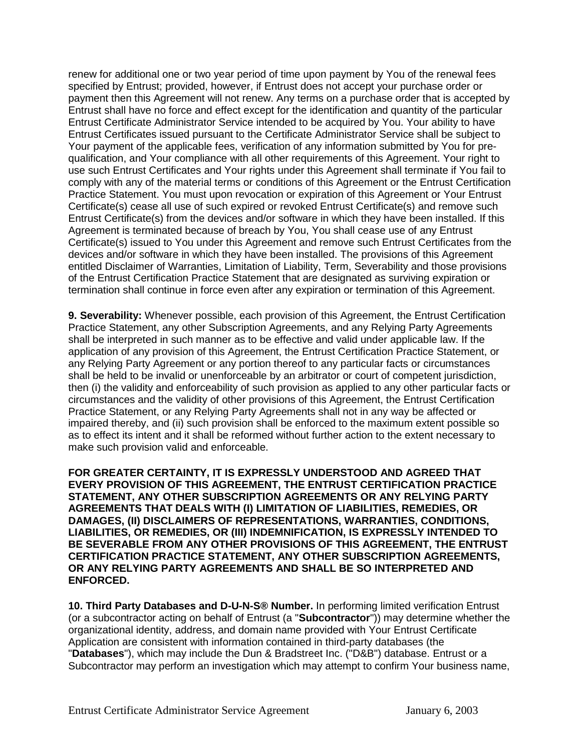renew for additional one or two year period of time upon payment by You of the renewal fees specified by Entrust; provided, however, if Entrust does not accept your purchase order or payment then this Agreement will not renew. Any terms on a purchase order that is accepted by Entrust shall have no force and effect except for the identification and quantity of the particular Entrust Certificate Administrator Service intended to be acquired by You. Your ability to have Entrust Certificates issued pursuant to the Certificate Administrator Service shall be subject to Your payment of the applicable fees, verification of any information submitted by You for prequalification, and Your compliance with all other requirements of this Agreement. Your right to use such Entrust Certificates and Your rights under this Agreement shall terminate if You fail to comply with any of the material terms or conditions of this Agreement or the Entrust Certification Practice Statement. You must upon revocation or expiration of this Agreement or Your Entrust Certificate(s) cease all use of such expired or revoked Entrust Certificate(s) and remove such Entrust Certificate(s) from the devices and/or software in which they have been installed. If this Agreement is terminated because of breach by You, You shall cease use of any Entrust Certificate(s) issued to You under this Agreement and remove such Entrust Certificates from the devices and/or software in which they have been installed. The provisions of this Agreement entitled Disclaimer of Warranties, Limitation of Liability, Term, Severability and those provisions of the Entrust Certification Practice Statement that are designated as surviving expiration or termination shall continue in force even after any expiration or termination of this Agreement.

**9. Severability:** Whenever possible, each provision of this Agreement, the Entrust Certification Practice Statement, any other Subscription Agreements, and any Relying Party Agreements shall be interpreted in such manner as to be effective and valid under applicable law. If the application of any provision of this Agreement, the Entrust Certification Practice Statement, or any Relying Party Agreement or any portion thereof to any particular facts or circumstances shall be held to be invalid or unenforceable by an arbitrator or court of competent jurisdiction, then (i) the validity and enforceability of such provision as applied to any other particular facts or circumstances and the validity of other provisions of this Agreement, the Entrust Certification Practice Statement, or any Relying Party Agreements shall not in any way be affected or impaired thereby, and (ii) such provision shall be enforced to the maximum extent possible so as to effect its intent and it shall be reformed without further action to the extent necessary to make such provision valid and enforceable.

**FOR GREATER CERTAINTY, IT IS EXPRESSLY UNDERSTOOD AND AGREED THAT EVERY PROVISION OF THIS AGREEMENT, THE ENTRUST CERTIFICATION PRACTICE STATEMENT, ANY OTHER SUBSCRIPTION AGREEMENTS OR ANY RELYING PARTY AGREEMENTS THAT DEALS WITH (I) LIMITATION OF LIABILITIES, REMEDIES, OR DAMAGES, (II) DISCLAIMERS OF REPRESENTATIONS, WARRANTIES, CONDITIONS, LIABILITIES, OR REMEDIES, OR (III) INDEMNIFICATION, IS EXPRESSLY INTENDED TO BE SEVERABLE FROM ANY OTHER PROVISIONS OF THIS AGREEMENT, THE ENTRUST CERTIFICATION PRACTICE STATEMENT, ANY OTHER SUBSCRIPTION AGREEMENTS, OR ANY RELYING PARTY AGREEMENTS AND SHALL BE SO INTERPRETED AND ENFORCED.**

**10. Third Party Databases and D-U-N-S® Number.** In performing limited verification Entrust (or a subcontractor acting on behalf of Entrust (a "**Subcontractor**")) may determine whether the organizational identity, address, and domain name provided with Your Entrust Certificate Application are consistent with information contained in third-party databases (the "**Databases**"), which may include the Dun & Bradstreet Inc. ("D&B") database. Entrust or a Subcontractor may perform an investigation which may attempt to confirm Your business name,